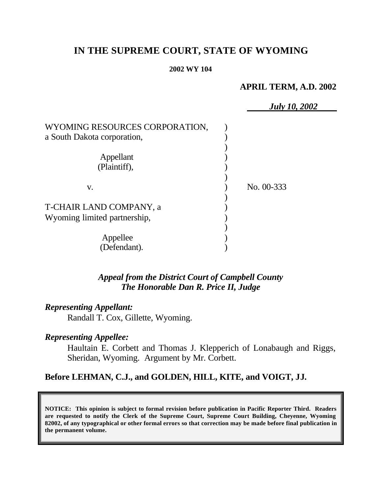# **IN THE SUPREME COURT, STATE OF WYOMING**

### **2002 WY 104**

### **APRIL TERM, A.D. 2002**

*July 10, 2002*

|                                | $\boldsymbol{J}$ ulv |
|--------------------------------|----------------------|
| WYOMING RESOURCES CORPORATION, |                      |
| a South Dakota corporation,    |                      |
|                                |                      |
| Appellant                      |                      |
| (Plaintiff),                   |                      |
|                                |                      |
| V.                             | No. 00-333           |
| T-CHAIR LAND COMPANY, a        |                      |
| Wyoming limited partnership,   |                      |
|                                |                      |
| Appellee                       |                      |
| (Defendant).                   |                      |

## *Appeal from the District Court of Campbell County The Honorable Dan R. Price II, Judge*

### *Representing Appellant:*

Randall T. Cox, Gillette, Wyoming.

## *Representing Appellee:*

Haultain E. Corbett and Thomas J. Klepperich of Lonabaugh and Riggs, Sheridan, Wyoming. Argument by Mr. Corbett.

## **Before LEHMAN, C.J., and GOLDEN, HILL, KITE, and VOIGT, JJ.**

**NOTICE: This opinion is subject to formal revision before publication in Pacific Reporter Third. Readers are requested to notify the Clerk of the Supreme Court, Supreme Court Building, Cheyenne, Wyoming 82002, of any typographical or other formal errors so that correction may be made before final publication in the permanent volume.**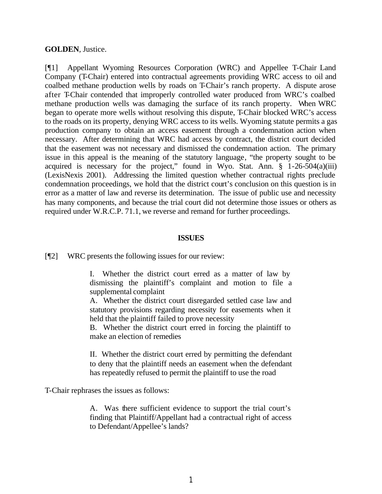### **GOLDEN**, Justice.

[¶1] Appellant Wyoming Resources Corporation (WRC) and Appellee T-Chair Land Company (T-Chair) entered into contractual agreements providing WRC access to oil and coalbed methane production wells by roads on T-Chair's ranch property. A dispute arose after T-Chair contended that improperly controlled water produced from WRC's coalbed methane production wells was damaging the surface of its ranch property. When WRC began to operate more wells without resolving this dispute, T-Chair blocked WRC's access to the roads on its property, denying WRC access to its wells. Wyoming statute permits a gas production company to obtain an access easement through a condemnation action when necessary. After determining that WRC had access by contract, the district court decided that the easement was not necessary and dismissed the condemnation action. The primary issue in this appeal is the meaning of the statutory language, "the property sought to be acquired is necessary for the project," found in Wyo. Stat. Ann.  $\S$  1-26-504(a)(iii) (LexisNexis 2001). Addressing the limited question whether contractual rights preclude condemnation proceedings, we hold that the district court's conclusion on this question is in error as a matter of law and reverse its determination. The issue of public use and necessity has many components, and because the trial court did not determine those issues or others as required under W.R.C.P. 71.1, we reverse and remand for further proceedings.

#### **ISSUES**

[¶2] WRC presents the following issues for our review:

I. Whether the district court erred as a matter of law by dismissing the plaintiff's complaint and motion to file a supplemental complaint

A. Whether the district court disregarded settled case law and statutory provisions regarding necessity for easements when it held that the plaintiff failed to prove necessity

B. Whether the district court erred in forcing the plaintiff to make an election of remedies

II. Whether the district court erred by permitting the defendant to deny that the plaintiff needs an easement when the defendant has repeatedly refused to permit the plaintiff to use the road

T-Chair rephrases the issues as follows:

A. Was there sufficient evidence to support the trial court's finding that Plaintiff/Appellant had a contractual right of access to Defendant/Appellee's lands?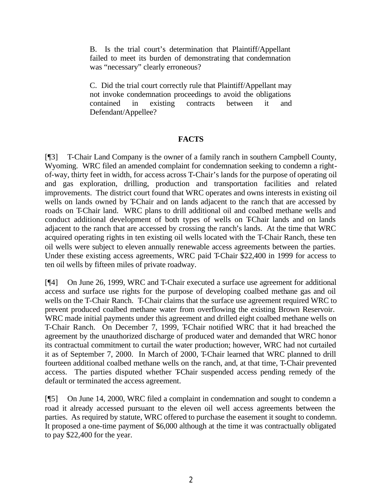B. Is the trial court's determination that Plaintiff/Appellant failed to meet its burden of demonstrating that condemnation was "necessary" clearly erroneous?

C. Did the trial court correctly rule that Plaintiff/Appellant may not invoke condemnation proceedings to avoid the obligations contained in existing contracts between it and Defendant/Appellee?

### **FACTS**

[¶3] T-Chair Land Company is the owner of a family ranch in southern Campbell County, Wyoming. WRC filed an amended complaint for condemnation seeking to condemn a rightof-way, thirty feet in width, for access across T-Chair's lands for the purpose of operating oil and gas exploration, drilling, production and transportation facilities and related improvements. The district court found that WRC operates and owns interests in existing oil wells on lands owned by T-Chair and on lands adjacent to the ranch that are accessed by roads on T-Chair land. WRC plans to drill additional oil and coalbed methane wells and conduct additional development of both types of wells on T-Chair lands and on lands adjacent to the ranch that are accessed by crossing the ranch's lands. At the time that WRC acquired operating rights in ten existing oil wells located with the T-Chair Ranch, these ten oil wells were subject to eleven annually renewable access agreements between the parties. Under these existing access agreements, WRC paid T-Chair \$22,400 in 1999 for access to ten oil wells by fifteen miles of private roadway.

[¶4] On June 26, 1999, WRC and T-Chair executed a surface use agreement for additional access and surface use rights for the purpose of developing coalbed methane gas and oil wells on the T-Chair Ranch. T-Chair claims that the surface use agreement required WRC to prevent produced coalbed methane water from overflowing the existing Brown Reservoir. WRC made initial payments under this agreement and drilled eight coalbed methane wells on T-Chair Ranch. On December 7, 1999, T-Chair notified WRC that it had breached the agreement by the unauthorized discharge of produced water and demanded that WRC honor its contractual commitment to curtail the water production; however, WRC had not curtailed it as of September 7, 2000. In March of 2000, T-Chair learned that WRC planned to drill fourteen additional coalbed methane wells on the ranch, and, at that time, T-Chair prevented access. The parties disputed whether TChair suspended access pending remedy of the default or terminated the access agreement.

[¶5] On June 14, 2000, WRC filed a complaint in condemnation and sought to condemn a road it already accessed pursuant to the eleven oil well access agreements between the parties. As required by statute, WRC offered to purchase the easement it sought to condemn. It proposed a one-time payment of \$6,000 although at the time it was contractually obligated to pay \$22,400 for the year.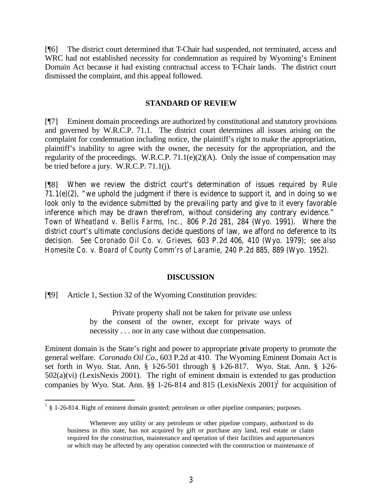[¶6] The district court determined that T-Chair had suspended, not terminated, access and WRC had not established necessity for condemnation as required by Wyoming's Eminent Domain Act because it had existing contractual access to T-Chair lands. The district court dismissed the complaint, and this appeal followed.

### **STANDARD OF REVIEW**

[¶7] Eminent domain proceedings are authorized by constitutional and statutory provisions and governed by W.R.C.P. 71.1. The district court determines all issues arising on the complaint for condemnation including notice, the plaintiff's right to make the appropriation, plaintiff's inability to agree with the owner, the necessity for the appropriation, and the regularity of the proceedings. W.R.C.P.  $71.1(e)(2)(A)$ . Only the issue of compensation may be tried before a jury. W.R.C.P. 71.1(j).

[¶8] When we review the district court's determination of issues required by Rule 71.1(e)(2), "we uphold the judgment if there is evidence to support it, and in doing so we look only to the evidence submitted by the prevailing party and give to it every favorable inference which may be drawn therefrom, without considering any contrary evidence." *Town of Wheatland v. Bellis Farms, Inc.,* 806 P.2d 281, 284 (Wyo. 1991). Where the district court's ultimate conclusions decide questions of law, we afford no deference to its decision. *See Coronado Oil Co. v. Grieves,* 603 P.2d 406, 410 (Wyo. 1979); *see also Homesite Co. v. Board of County Comm'rs of Laramie,* 240 P.2d 885, 889 (Wyo. 1952).

#### **DISCUSSION**

[¶9] Article 1, Section 32 of the Wyoming Constitution provides:

Private property shall not be taken for private use unless by the consent of the owner, except for private ways of necessity . . . nor in any case without due compensation.

Eminent domain is the State's right and power to appropriate private property to promote the general welfare. *Coronado Oil Co.*, 603 P.2d at 410. The Wyoming Eminent Domain Act is set forth in Wyo. Stat. Ann. § 1-26-501 through § 1-26-817. Wyo. Stat. Ann. § 1-26- 502(a)(vi) (LexisNexis 2001). The right of eminent domain is extended to gas production companies by Wyo. Stat. Ann.  $\S$  1-26-814 and 815 (LexisNexis 2001)<sup>1</sup> for acquisition of

 $\frac{1}{3}$  \$ 1-26-814. Right of eminent domain granted; petroleum or other pipeline companies; purposes.

Whenever any utility or any petroleum or other pipeline company, authorized to do business in this state, has not acquired by gift or purchase any land, real estate or claim required for the construction, maintenance and operation of their facilities and appurtenances or which may be affected by any operation connected with the construction or maintenance of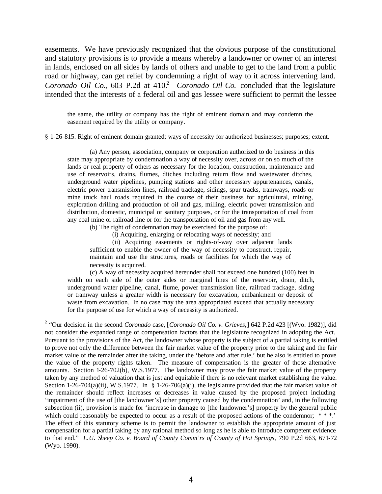easements. We have previously recognized that the obvious purpose of the constitutional and statutory provisions is to provide a means whereby a landowner or owner of an interest in lands, enclosed on all sides by lands of others and unable to get to the land from a public road or highway, can get relief by condemning a right of way to it across intervening land. *Coronado Oil Co.*, 603 P.2d at 410.<sup>2</sup> *Coronado Oil Co.* concluded that the legislature intended that the interests of a federal oil and gas lessee were sufficient to permit the lessee

the same, the utility or company has the right of eminent domain and may condemn the easement required by the utility or company.

§ 1-26-815. Right of eminent domain granted; ways of necessity for authorized businesses; purposes; extent.

(a) Any person, association, company or corporation authorized to do business in this state may appropriate by condemnation a way of necessity over, across or on so much of the lands or real property of others as necessary for the location, construction, maintenance and use of reservoirs, drains, flumes, ditches including return flow and wastewater ditches, underground water pipelines, pumping stations and other necessary appurtenances, canals, electric power transmission lines, railroad trackage, sidings, spur tracks, tramways, roads or mine truck haul roads required in the course of their business for agricultural, mining, exploration drilling and production of oil and gas, milling, electric power transmission and distribution, domestic, municipal or sanitary purposes, or for the transportation of coal from any coal mine or railroad line or for the transportation of oil and gas from any well.

(b) The right of condemnation may be exercised for the purpose of:

(i) Acquiring, enlarging or relocating ways of necessity; and

(ii) Acquiring easements or rights-of-way over adjacent lands sufficient to enable the owner of the way of necessity to construct, repair, maintain and use the structures, roads or facilities for which the way of necessity is acquired.

(c) A way of necessity acquired hereunder shall not exceed one hundred (100) feet in width on each side of the outer sides or marginal lines of the reservoir, drain, ditch, underground water pipeline, canal, flume, power transmission line, railroad trackage, siding or tramway unless a greater width is necessary for excavation, embankment or deposit of waste from excavation. In no case may the area appropriated exceed that actually necessary for the purpose of use for which a way of necessity is authorized.

2 "Our decision in the second *Coronado* case, [*Coronado Oil Co. v. Grieves,*] 642 P.2d 423 [(Wyo. 1982)], did not consider the expanded range of compensation factors that the legislature recognized in adopting the Act. Pursuant to the provisions of the Act, the landowner whose property is the subject of a partial taking is entitled to prove not only the difference between the fair market value of the property prior to the taking and the fair market value of the remainder after the taking, under the 'before and after rule,' but he also is entitled to prove the value of the property rights taken. The measure of compensation is the greater of those alternative amounts. Section 1-26-702(b), W.S.1977. The landowner may prove the fair market value of the property taken by any method of valuation that is just and equitable if there is no relevant market establishing the value. Section 1-26-704(a)(ii), W.S.1977. In § 1-26-706(a)(i), the legislature provided that the fair market value of the remainder should reflect increases or decreases in value caused by the proposed project including 'impairment of the use of [the landowner's] other property caused by the condemnation' and, in the following subsection (ii), provision is made for 'increase in damage to [the landowner's] property by the general public which could reasonably be expected to occur as a result of the proposed actions of the condemnor; \*\*\*.' The effect of this statutory scheme is to permit the landowner to establish the appropriate amount of just compensation for a partial taking by any rational method so long as he is able to introduce competent evidence to that end." *L.U. Sheep Co. v. Board of County Comm'rs of County of Hot Springs,* 790 P.2d 663, 671-72 (Wyo. 1990).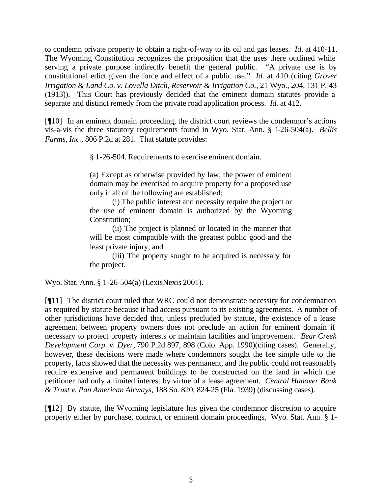to condemn private property to obtain a right-of-way to its oil and gas leases. *Id.* at 410-11. The Wyoming Constitution recognizes the proposition that the uses there outlined while serving a private purpose indirectly benefit the general public. "A private use is by constitutional edict given the force and effect of a public use." *Id.* at 410 (citing *Grover Irrigation & Land Co. v. Lovella Ditch, Reservoir & Irrigation Co.,* 21 Wyo., 204, 131 P. 43 (1913)). This Court has previously decided that the eminent domain statutes provide a separate and distinct remedy from the private road application process. *Id.* at 412.

[¶10] In an eminent domain proceeding, the district court reviews the condemnor's actions vis-a-vis the three statutory requirements found in Wyo. Stat. Ann. § 1-26-504(a). *Bellis Farms, Inc.,* 806 P.2d at 281. That statute provides:

§ 1-26-504. Requirements to exercise eminent domain.

(a) Except as otherwise provided by law, the power of eminent domain may be exercised to acquire property for a proposed use only if all of the following are established:

(i) The public interest and necessity require the project or the use of eminent domain is authorized by the Wyoming Constitution;

(ii) The project is planned or located in the manner that will be most compatible with the greatest public good and the least private injury; and

(iii) The property sought to be acquired is necessary for the project.

Wyo. Stat. Ann. § 1-26-504(a) (LexisNexis 2001).

[¶11] The district court ruled that WRC could not demonstrate necessity for condemnation as required by statute because it had access pursuant to its existing agreements. A number of other jurisdictions have decided that, unless precluded by statute, the existence of a lease agreement between property owners does not preclude an action for eminent domain if necessary to protect property interests or maintain facilities and improvement. *Bear Creek Development Corp. v. Dyer,* 790 P.2d 897, 898 (Colo. App. 1990)(citing cases). Generally, however, these decisions were made where condemnors sought the fee simple title to the property, facts showed that the necessity was permanent, and the public could not reasonably require expensive and permanent buildings to be constructed on the land in which the petitioner had only a limited interest by virtue of a lease agreement. *Central Hanover Bank & Trust v. Pan American Airways,* 188 So. 820, 824-25 (Fla. 1939) (discussing cases).

[¶12] By statute, the Wyoming legislature has given the condemnor discretion to acquire property either by purchase, contract, or eminent domain proceedings, Wyo. Stat. Ann. § 1-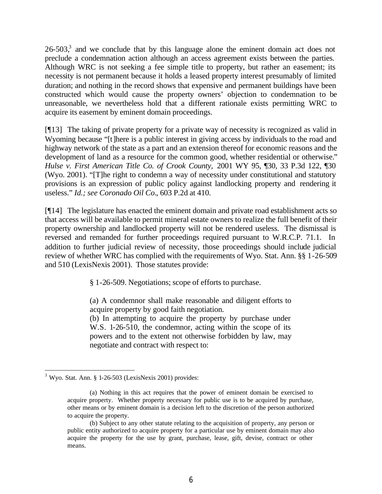$26-503$ ,<sup>3</sup> and we conclude that by this language alone the eminent domain act does not preclude a condemnation action although an access agreement exists between the parties. Although WRC is not seeking a fee simple title to property, but rather an easement; its necessity is not permanent because it holds a leased property interest presumably of limited duration; and nothing in the record shows that expensive and permanent buildings have been constructed which would cause the property owners' objection to condemnation to be unreasonable, we nevertheless hold that a different rationale exists permitting WRC to acquire its easement by eminent domain proceedings.

[¶13] The taking of private property for a private way of necessity is recognized as valid in Wyoming because "[t] here is a public interest in giving access by individuals to the road and highway network of the state as a part and an extension thereof for economic reasons and the development of land as a resource for the common good, whether residential or otherwise." *Hulse v. First American Title Co. of Crook County,* 2001 WY 95, ¶30, 33 P.3d 122, ¶30 (Wyo. 2001). "[T]he right to condemn a way of necessity under constitutional and statutory provisions is an expression of public policy against landlocking property and rendering it useless." *Id.; see Coronado Oil Co.*, 603 P.2d at 410.

[¶14] The legislature has enacted the eminent domain and private road establishment acts so that access will be available to permit mineral estate owners to realize the full benefit of their property ownership and landlocked property will not be rendered useless. The dismissal is reversed and remanded for further proceedings required pursuant to W.R.C.P. 71.1. In addition to further judicial review of necessity, those proceedings should include judicial review of whether WRC has complied with the requirements of Wyo. Stat. Ann. §§ 1-26-509 and 510 (LexisNexis 2001). Those statutes provide:

§ 1-26-509. Negotiations; scope of efforts to purchase.

(a) A condemnor shall make reasonable and diligent efforts to acquire property by good faith negotiation.

(b) In attempting to acquire the property by purchase under W.S. 1-26-510, the condemnor, acting within the scope of its powers and to the extent not otherwise forbidden by law, may negotiate and contract with respect to:

  $3$  Wyo. Stat. Ann. § 1-26-503 (LexisNexis 2001) provides:

<sup>(</sup>a) Nothing in this act requires that the power of eminent domain be exercised to acquire property. Whether property necessary for public use is to be acquired by purchase, other means or by eminent domain is a decision left to the discretion of the person authorized to acquire the property.

<sup>(</sup>b) Subject to any other statute relating to the acquisition of property, any person or public entity authorized to acquire property for a particular use by eminent domain may also acquire the property for the use by grant, purchase, lease, gift, devise, contract or other means.